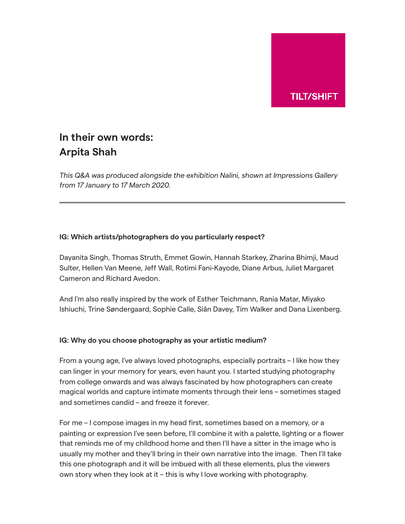

# **In their own words: Arpita Shah**

*This Q&A was produced alongside the exhibition Nalini, shown at Impressions Gallery from 17 January to 17 March 2020.*

#### **IG: Which artists/photographers do you particularly respect?**

Dayanita Singh, Thomas Struth, Emmet Gowin, Hannah Starkey, Zharina Bhimji, Maud Sulter, Hellen Van Meene, Jeff Wall, Rotimi Fani-Kayode, Diane Arbus, Juliet Margaret Cameron and Richard Avedon.

And I'm also really inspired by the work of Esther Teichmann, Rania Matar, Miyako Ishiuchi, Trine Søndergaard, Sophie Calle, Siân Davey, Tim Walker and Dana Lixenberg.

# **IG: Why do you choose photography as your artistic medium?**

From a young age, I've always loved photographs, especially portraits – I like how they can linger in your memory for years, even haunt you. I started studying photography from college onwards and was always fascinated by how photographers can create magical worlds and capture intimate moments through their lens – sometimes staged and sometimes candid – and freeze it forever.

For me – I compose images in my head first, sometimes based on a memory, or a painting or expression I've seen before, I'll combine it with a palette, lighting or a flower that reminds me of my childhood home and then I'll have a sitter in the image who is usually my mother and they'll bring in their own narrative into the image. Then I'll take this one photograph and it will be imbued with all these elements, plus the viewers own story when they look at it – this is why I love working with photography.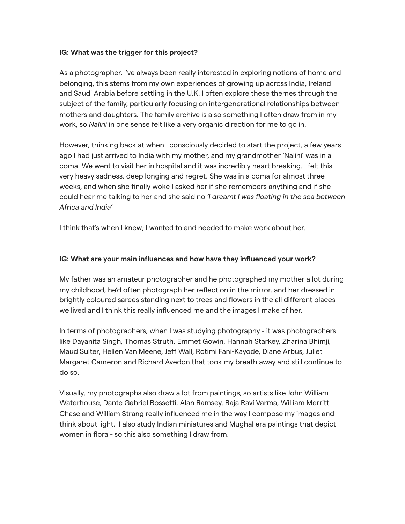#### **IG: What was the trigger for this project?**

As a photographer, I've always been really interested in exploring notions of home and belonging, this stems from my own experiences of growing up across India, Ireland and Saudi Arabia before settling in the U.K. I often explore these themes through the subject of the family, particularly focusing on intergenerational relationships between mothers and daughters. The family archive is also something I often draw from in my work, so *Nalini* in one sense felt like a very organic direction for me to go in.

However, thinking back at when I consciously decided to start the project, a few years ago I had just arrived to India with my mother, and my grandmother 'Nalini' was in a coma. We went to visit her in hospital and it was incredibly heart breaking. I felt this very heavy sadness, deep longing and regret. She was in a coma for almost three weeks, and when she finally woke I asked her if she remembers anything and if she could hear me talking to her and she said no *'I dreamt I was floating in the sea between Africa and India'* 

I think that's when I knew; I wanted to and needed to make work about her.

#### **IG: What are your main influences and how have they influenced your work?**

My father was an amateur photographer and he photographed my mother a lot during my childhood, he'd often photograph her reflection in the mirror, and her dressed in brightly coloured sarees standing next to trees and flowers in the all different places we lived and I think this really influenced me and the images I make of her.

In terms of photographers, when I was studying photography - it was photographers like Dayanita Singh, Thomas Struth, Emmet Gowin, Hannah Starkey, Zharina Bhimji, Maud Sulter, Hellen Van Meene, Jeff Wall, Rotimi Fani-Kayode, Diane Arbus, Juliet Margaret Cameron and Richard Avedon that took my breath away and still continue to do so.

Visually, my photographs also draw a lot from paintings, so artists like John William Waterhouse, Dante Gabriel Rossetti, Alan Ramsey, Raja Ravi Varma, William Merritt Chase and William Strang really influenced me in the way I compose my images and think about light. I also study Indian miniatures and Mughal era paintings that depict women in flora - so this also something I draw from.